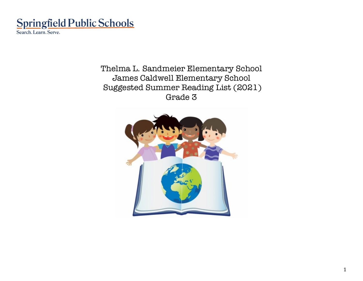

Thelma L. Sandmeier Elementary School James Caldwell Elementary School Suggested Summer Reading List (2021) Grade 3

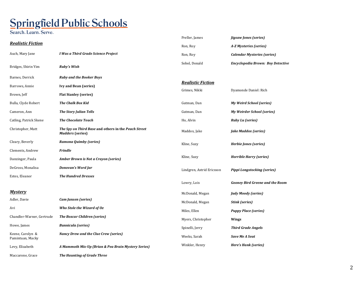## Springfield Public Schools

Search. Learn. Serve.

|                                      |                                                                                 | Preller, James            | <b>Jigsaw Jones (series)</b>             |
|--------------------------------------|---------------------------------------------------------------------------------|---------------------------|------------------------------------------|
| <b>Realistic Fiction</b>             |                                                                                 | Ron, Roy                  | A-Z Mysteries (series)                   |
| Auch, Mary Jane                      | I Was a Third Grade Science Project                                             | Ron, Roy                  | <b>Calendar Mysteries (series)</b>       |
| Bridges, Shirin Yim                  | <b>Ruby's Wish</b>                                                              | Sobol, Donald             | <b>Encyclopedia Brown: Boy Detective</b> |
| Barnes, Derrick                      | <b>Ruby and the Booker Boys</b>                                                 |                           |                                          |
| Barrows, Annie                       | <b>Ivy and Bean (series)</b>                                                    | <b>Realistic Fiction</b>  |                                          |
| Brown, Jeff                          | <b>Flat Stanley (series)</b>                                                    | Grimes, Nikki             | Dyamonde Daniel: Rich                    |
| Bulla, Clyde Robert                  | <b>The Chalk Box Kid</b>                                                        | Gutman, Dan               | <b>My Weird School (series)</b>          |
| Cameron, Ann                         | <b>The Story Julian Tells</b>                                                   | Gutman, Dan               | <b>My Weirder School (series)</b>        |
| Catling, Patrick Skene               | <b>The Chocolate Touch</b>                                                      | Ho, Alvin                 | <b>Ruby Lu (series)</b>                  |
| Christopher, Matt                    | The Spy on Third Base and others in the Peach Street<br><b>Mudders (series)</b> | Maddox, Jake              | <b>Jake Maddox (series)</b>              |
| Cleary, Beverly                      | Ramona Quimby (series)                                                          | Kline, Suzy               | Herbie Jones (series)                    |
| Clements, Andrew                     | <b>Frindle</b>                                                                  |                           |                                          |
| Danzinger, Paula                     | <b>Amber Brown is Not a Crayon (series)</b>                                     | Kline, Suzy               | <b>Horrible Harry (series)</b>           |
| DeGross, Monalisa                    | Donovan's Word Jar                                                              | Lindgren, Astrid Ericsson | <b>Pippi Longstocking (series)</b>       |
| Estes, Eleanor                       | <b>The Hundred Dresses</b>                                                      |                           |                                          |
|                                      |                                                                                 | Lowry, Lois               | <b>Gooney Bird Greene and the Room</b>   |
| <b>Mystery</b>                       |                                                                                 | McDonald, Megan           | <b>Judy Moody (series)</b>               |
| Adler, Davie                         | Cam Jansen (series)                                                             | McDonald, Megan           | <b>Stink (series)</b>                    |
| Avi                                  | Who Stole the Wizard of Oz                                                      | Miles, Ellen              | <b>Puppy Place (series)</b>              |
| Chandler-Warner, Gertrude            | <b>The Boxcar Children (series)</b>                                             | Myers, Christopher        | Wings                                    |
| Howe, James                          | <b>Bunnicula</b> (series)                                                       | Spinelli, Jerry           | <b>Third Grade Angels</b>                |
| Keene, Carolyn &<br>Pamintuan, Macky | Nancy Drew and the Clue Crew (series)                                           | Weeks, Sarah              | <b>Save Me A Seat</b>                    |
| Levy, Elizabeth                      | A Mammoth Mix-Up (Brian & Pea Brain Mystery Series)                             | Winkler, Henry            | Here's Hank (series)                     |

Maccarone, Grace **The Haunting of Grade Three**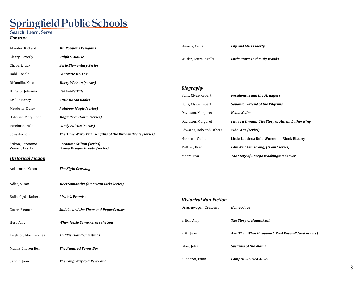### Springfield Public Schools

Search. Learn. Serve.

### *Fantasy*

| Atwater, Richard                    | Mr. Popper's Penguins                                                   | Stevens, Carla                          | <b>Lily and Miss Liberty</b>                      |
|-------------------------------------|-------------------------------------------------------------------------|-----------------------------------------|---------------------------------------------------|
| Cleary, Beverly                     | <b>Ralph S. Mouse</b>                                                   | Wilder, Laura Ingalls                   | Little House in the Big Woods                     |
| Chabert, Jack                       | <b>Eerie Elementary Series</b>                                          |                                         |                                                   |
| Dahl, Ronald                        | <b>Fantastic Mr. Fox</b>                                                |                                         |                                                   |
| DiCamillo, Kate                     | <b>Mercy Watson (series)</b>                                            |                                         |                                                   |
| Hurwitz, Johanna                    | Pee Wee's Tale                                                          | <b>Biography</b><br>Bulla, Clyde Robert | <b>Pocahontas and the Strangers</b>               |
| Krulik, Nancy                       | <b>Katie Kazoo Books</b>                                                | Bulla, Clyde Robert                     | <b>Squanto: Friend of the Pilgrims</b>            |
| Meadows, Daisy                      | <b>Rainbow Magic (series)</b>                                           | Davidson, Margaret                      | <b>Helen Keller</b>                               |
| Osborne, Mary Pope                  | <b>Magic Tree House (series)</b>                                        | Davidson, Margaret                      | I Have a Dream: The Story of Martin Luther King   |
| Perelman, Helen                     | <b>Candy Fairies (series)</b>                                           | Edwards, Robert & Others                | Who Was (series)                                  |
| Scieszka, Jon                       | The Time Warp Trio: Knights of the Kitchen Table (series)               | Harrison, Vashti                        | Little Leaders: Bold Women in Black History       |
| Stilton, Geronimo<br>Vernon, Ursula | <b>Geronimo Stilton (series)</b><br><b>Danny Dragon Breath (series)</b> | Meltzer, Brad                           | I Am Neil Armstrong, ("I am" series)              |
| <b>Historical Fiction</b>           |                                                                         | Moore, Eva                              | The Story of George Washington Carver             |
| Ackerman, Karen                     | <b>The Night Crossing</b>                                               |                                         |                                                   |
| Adler, Susan                        | <b>Meet Samantha (American Girls Series)</b>                            |                                         |                                                   |
| Bulla, Clyde Robert                 | <b>Pirate's Promise</b>                                                 | <b>Historical Non-Fiction</b>           |                                                   |
| Coerr, Eleanor                      | <b>Sadako and the Thousand Paper Cranes</b>                             | Dragonwagon, Crescent                   | <b>Home Place</b>                                 |
| Hest, Amy                           | When Jessie Came Across the Sea                                         | Erlich, Amy                             | <b>The Story of Hannukkah</b>                     |
| Leighton, Maxine Rhea               | <b>An Ellis Island Christmas</b>                                        | Fritz, Jean                             | And Then What Happened, Paul Revere? (and others) |
| Mathis, Sharon Bell                 | <b>The Hundred Penny Box</b>                                            | Jakes, John                             | <b>Susanna of the Alamo</b>                       |
| Sandin, Joan                        | The Long Way to a New Land                                              | Kunhardt, Edith                         | PompeiiBuried Alive!                              |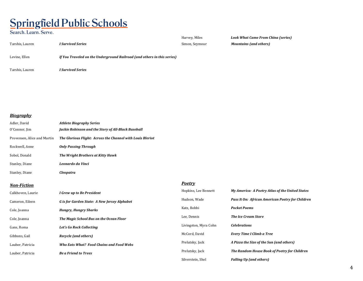# Springfield Public Schools

Search. Learn. Serve.

Tarshis, Lauren *I Survived Series*

Harvey, Miles **Look What Came From China (series)** Simon, Seymour **Mountains (and others)** 

Levine, Ellen *If You Traveled on the Underground Railroad (and others in this series)* 

Tarshis, Lauren *I Survived Series* 

*Biography*

| Adler, David                | <b>Athlete Biography Series</b>                            |
|-----------------------------|------------------------------------------------------------|
| O'Connor, Jim               | Jackie Robinson and the Story of All-Black Baseball        |
| Provensen, Alice and Martin | The Glorious Flight: Across the Channel with Louis Bleriot |
| Rockwell, Anne              | <b>Only Passing Through</b>                                |
| Sobol, Donald               | The Wright Brothers at Kitty Hawk                          |
| Stanley, Diane              | Leonardo da Vinci                                          |
| Stanley, Diane              | Cleopatra                                                  |

#### *Non-Fiction*

*Poetry*

| Calkhoven, Laurie | I Grew up to Be President                    | Hopkins, Lee Bennett  | My America: A Poetry Atlas of the United States  |
|-------------------|----------------------------------------------|-----------------------|--------------------------------------------------|
| Cameron, Eileen   | G is for Garden State: A New Jersey Alphabet | Hudson, Wade          | Pass It On: African American Poetry for Children |
| Cole, Joanna      | <b>Hungry, Hungry Sharks</b>                 | Katz, Bobbi           | <b>Pocket Poems</b>                              |
| Cole, Joanna      | The Magic School Bus on the Ocean Floor      | Lee, Dennis           | <b>The Ice Cream Store</b>                       |
| Gans, Roma        | Let's Go Rock Collecting                     | Livingston, Myra Cohn | <b>Celebrations</b>                              |
| Gibbons, Gail     | Recycle (and others)                         | McCord, David         | Every Time I Climb a Tree                        |
| Lauber, Patricia  | Who Eats What? Food Chains and Food Webs     | Prelutsky, Jack       | A Pizza the Size of the Sun (and others)         |
| Lauber, Patricia  | <b>Be a Friend to Trees</b>                  | Prelutsky, Jack       | The Random House Book of Poetry for Children     |
|                   |                                              | Silverstein, Shel     | <b>Falling Up (and others)</b>                   |